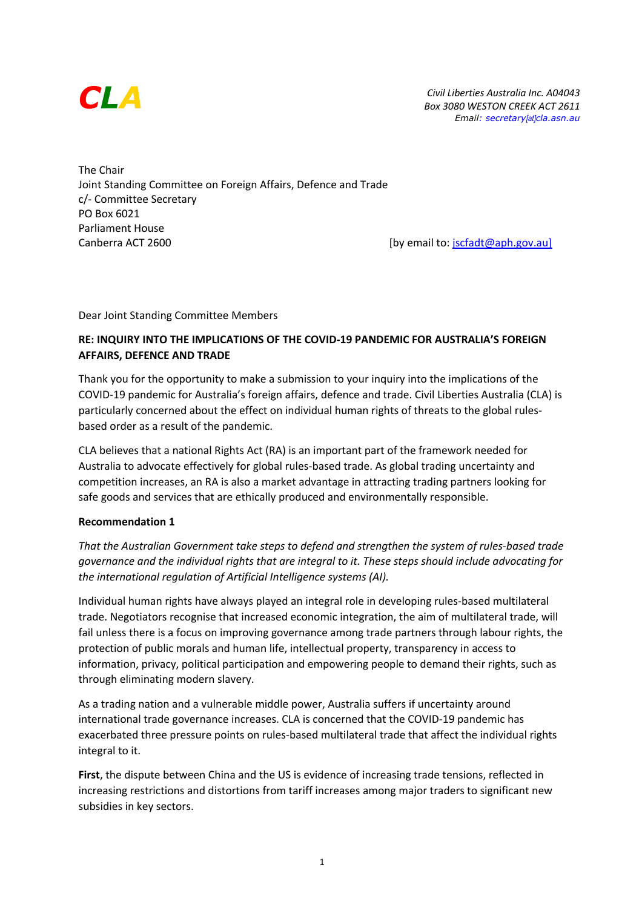

*Civil Liberties Australia Inc. A04043 Box 3080 WESTON CREEK ACT 2611 Email: secretary[at]cla.asn.au*

The Chair Joint Standing Committee on Foreign Affairs, Defence and Trade c/- Committee Secretary PO Box 6021 Parliament House Canberra ACT 2600 **Canberra ACT 2600** [by email to: jscfadt@aph.gov.au]

Dear Joint Standing Committee Members

## **RE: INQUIRY INTO THE IMPLICATIONS OF THE COVID-19 PANDEMIC FOR AUSTRALIA'S FOREIGN AFFAIRS, DEFENCE AND TRADE**

Thank you for the opportunity to make a submission to your inquiry into the implications of the COVID-19 pandemic for Australia's foreign affairs, defence and trade. Civil Liberties Australia (CLA) is particularly concerned about the effect on individual human rights of threats to the global rulesbased order as a result of the pandemic.

CLA believes that a national Rights Act (RA) is an important part of the framework needed for Australia to advocate effectively for global rules-based trade. As global trading uncertainty and competition increases, an RA is also a market advantage in attracting trading partners looking for safe goods and services that are ethically produced and environmentally responsible.

### **Recommendation 1**

*That the Australian Government take steps to defend and strengthen the system of rules-based trade governance and the individual rights that are integral to it. These steps should include advocating for the international regulation of Artificial Intelligence systems (AI).*

Individual human rights have always played an integral role in developing rules-based multilateral trade. Negotiators recognise that increased economic integration, the aim of multilateral trade, will fail unless there is a focus on improving governance among trade partners through labour rights, the protection of public morals and human life, intellectual property, transparency in access to information, privacy, political participation and empowering people to demand their rights, such as through eliminating modern slavery.

As a trading nation and a vulnerable middle power, Australia suffers if uncertainty around international trade governance increases. CLA is concerned that the COVID-19 pandemic has exacerbated three pressure points on rules-based multilateral trade that affect the individual rights integral to it.

**First**, the dispute between China and the US is evidence of increasing trade tensions, reflected in increasing restrictions and distortions from tariff increases among major traders to significant new subsidies in key sectors.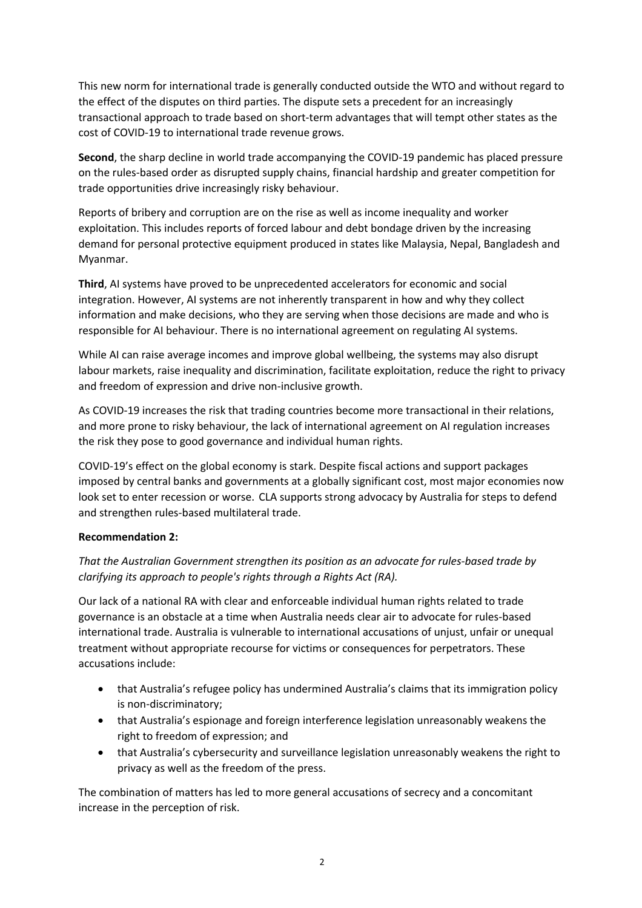This new norm for international trade is generally conducted outside the WTO and without regard to the effect of the disputes on third parties. The dispute sets a precedent for an increasingly transactional approach to trade based on short-term advantages that will tempt other states as the cost of COVID-19 to international trade revenue grows.

**Second**, the sharp decline in world trade accompanying the COVID-19 pandemic has placed pressure on the rules-based order as disrupted supply chains, financial hardship and greater competition for trade opportunities drive increasingly risky behaviour.

Reports of bribery and corruption are on the rise as well as income inequality and worker exploitation. This includes reports of forced labour and debt bondage driven by the increasing demand for personal protective equipment produced in states like Malaysia, Nepal, Bangladesh and Myanmar.

**Third**, AI systems have proved to be unprecedented accelerators for economic and social integration. However, AI systems are not inherently transparent in how and why they collect information and make decisions, who they are serving when those decisions are made and who is responsible for AI behaviour. There is no international agreement on regulating AI systems.

While AI can raise average incomes and improve global wellbeing, the systems may also disrupt labour markets, raise inequality and discrimination, facilitate exploitation, reduce the right to privacy and freedom of expression and drive non-inclusive growth.

As COVID-19 increases the risk that trading countries become more transactional in their relations, and more prone to risky behaviour, the lack of international agreement on AI regulation increases the risk they pose to good governance and individual human rights.

COVID-19's effect on the global economy is stark. Despite fiscal actions and support packages imposed by central banks and governments at a globally significant cost, most major economies now look set to enter recession or worse. CLA supports strong advocacy by Australia for steps to defend and strengthen rules-based multilateral trade.

## **Recommendation 2:**

# *That the Australian Government strengthen its position as an advocate for rules-based trade by clarifying its approach to people's rights through a Rights Act (RA).*

Our lack of a national RA with clear and enforceable individual human rights related to trade governance is an obstacle at a time when Australia needs clear air to advocate for rules-based international trade. Australia is vulnerable to international accusations of unjust, unfair or unequal treatment without appropriate recourse for victims or consequences for perpetrators. These accusations include:

- that Australia's refugee policy has undermined Australia's claims that its immigration policy is non-discriminatory;
- that Australia's espionage and foreign interference legislation unreasonably weakens the right to freedom of expression; and
- that Australia's cybersecurity and surveillance legislation unreasonably weakens the right to privacy as well as the freedom of the press.

The combination of matters has led to more general accusations of secrecy and a concomitant increase in the perception of risk.